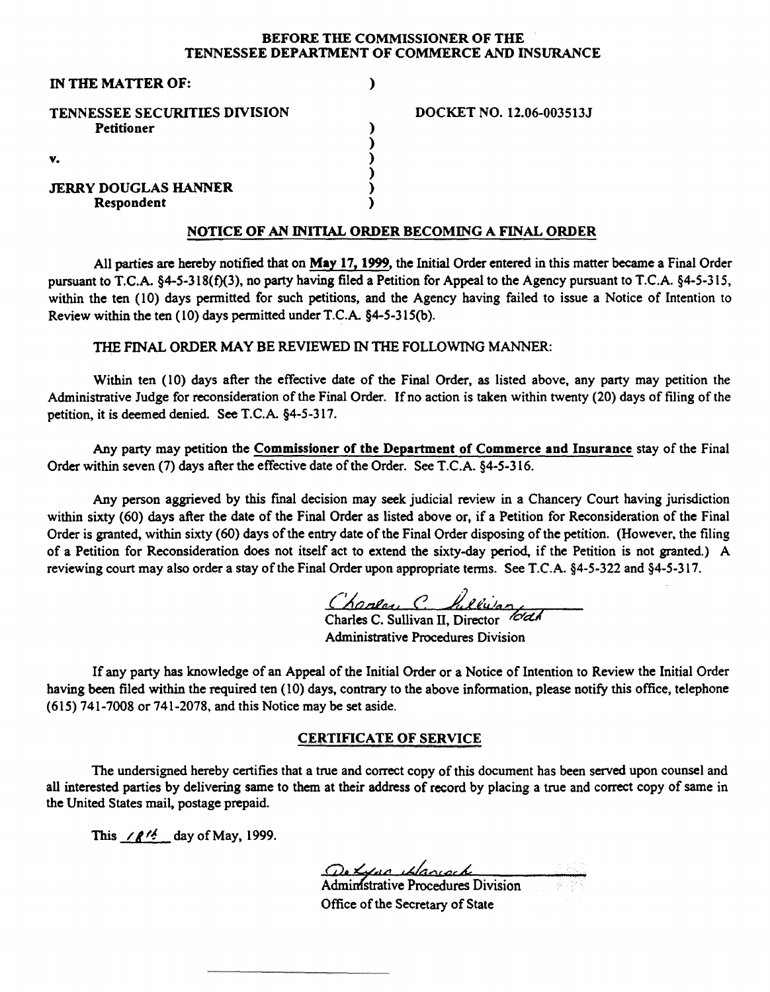#### BEFORE THE COMMISSIONER OF THE TENNESSEE DEPARTMENT OF COMMERCE AND INSURANCE

| IN THE MATTER OF:                    |  |
|--------------------------------------|--|
| <b>TENNESSEE SECURITIES DIVISION</b> |  |
| <b>Petitioner</b>                    |  |
|                                      |  |
| V.                                   |  |
| <b>JERRY DOUGLAS HANNER</b>          |  |
| Respondent                           |  |

DOCKET NO. 12.06-003513J

#### NOTICE OF AN INITIAL ORDER BECOMING A FINAL ORDER

All parties are hereby notified that on May 17, 1999, the Initial Order entered in this matter became a Final Order pursuant to T.C.A. §4-5-318(f)(3), no party having filed a Petition for Appeal to the Agency pursuant to T.C.A. §4-5-315, within the ten (10) days permitted for such petitions, and the Agency having failed to issue a Notice of Intention to Review within the ten ( 10) days permitted under T.C.A. §4-5-315(b).

#### THE FINAL ORDER MAY BE REVIEWED IN THE FOLLOWING MANNER:

Within ten (10) days after the effective date of the Final Order, as listed above, any party may petition the Administrative Judge for reconsideration of the Final Order. If no action is taken within twenty (20) days of filing of the petition, it is deemed denied. See T.C.A. §4-5-317.

Any party may petition the Commissioner of the Department of Commerce and Insurance stay of the Final Order within seven (7) days after the effective date of the Order. See T.C.A. §4-5-316.

Any person aggrieved by this fmal decision may seek judicial review in a Chancery Court having jurisdiction within sixty (60) days after the date of the Final Order as listed above or, if a Petition for Reconsideration of the Final Order is granted, within sixty (60) days of the entry date of the Final Order disposing of the petition. (However, the filing of a Petition for Reconsideration does not itself act to extend the sixty-day period. if the Petition is not granted.) A reviewing court may also order a stay of the Final Order upon appropriate terms. See T.C.A. §4-5-322 and §4-5-317.

Charles C. Lilly's m

Administrative Procedures Divisio

If any party has knowledge of an Appeal of the Initial Order or a Notice of Intention to Review the Initial Order having been filed within the required ten (10) days, contrary to the above information, please notify this office, telephone (615) 741-7008 or 741-2078, and this Notice may be set aside.

#### CERTIFICATE OF SERVICE

The undersigned hereby certifies that a true and correct copy of this document has been served upon counsel and all interested parties by delivering same to them at their address of record by placing a true and correct copy of same in the United States mail, postage prepaid.

This  $/8^{1/2}$  day of May, 1999.

De Lace Llacech<br>Administrative Procedures Division

Office of the Secretary of State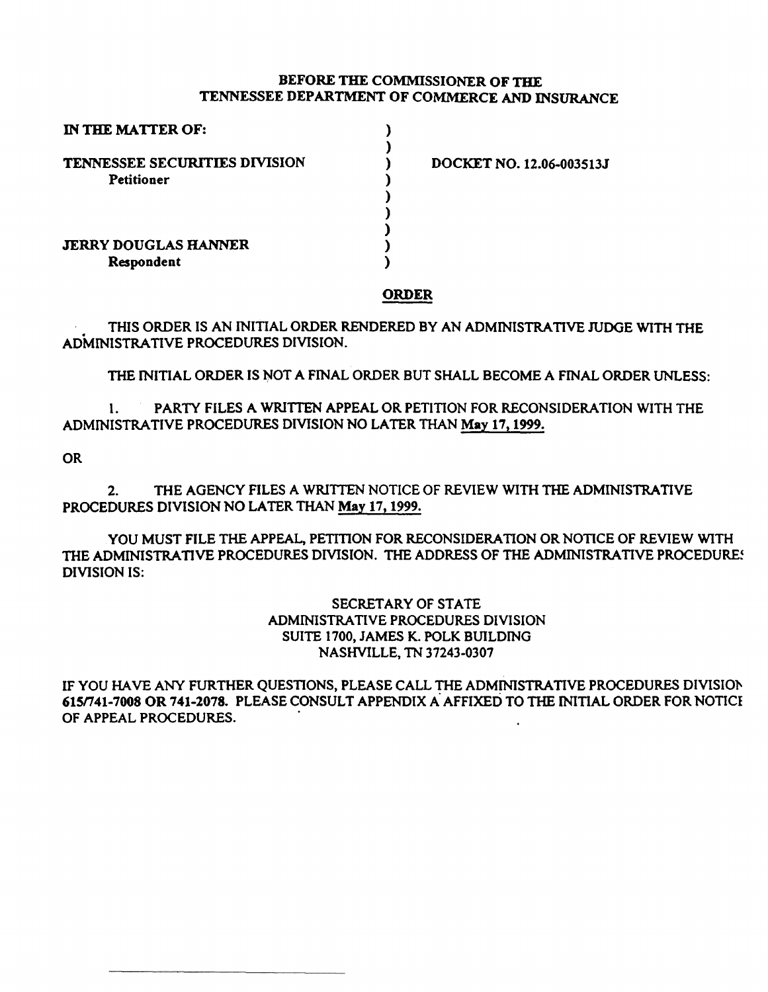## BEFORE THE COMMISSIONER OF THE TENNESSEE DEPARTMENT OF COMMERCE AND INSURANCE

| IN THE MATTER OF:                    |                          |
|--------------------------------------|--------------------------|
|                                      |                          |
| <b>TENNESSEE SECURITIES DIVISION</b> | DOCKET NO. 12.06-003513J |
| <b>Petitioner</b>                    |                          |
|                                      |                          |
|                                      |                          |
|                                      |                          |
| <b>JERRY DOUGLAS HANNER</b>          |                          |
| Respondent                           |                          |

### ORDER

THIS ORDER IS AN INITIAL ORDER RENDERED BY AN ADMINISTRATIVE JUDGE WITH THE ADMINISTRATIVE PROCEDURES DIVISION.

THE INITIAL ORDER IS NOT A FINAL ORDER BUT SHALL BECOME A FINAL ORDER UNLESS:

1. PARTY FILES A WRITTEN APPEAL OR PETITION FOR RECONSIDERATION WITH THE ADMINISTRATIVE PROCEDURES DIVISION NO LATER THAN May 17,1999.

OR

2. THE AGENCY FILES A WRITTEN NOTICE OF REVIEW WITH THE ADMINISTRATIVE PROCEDURES DIVISION NO LATER THAN May 17, 1999.

YOU MUST FILE THE APPEAL, PETITION FOR RECONSIDERATION OR NOTICE OF REVIEW WITH THE ADMINISTRATIVE PROCEDURES DIVISION. THE ADDRESS OF THE ADMINISTRATIVE PROCEDURE! DIVISION IS:

> SECRETARY OF STATE ADMINISTRATIVE PROCEDURES DIVISION SUITE 1700, JAMES K. POLK BUILDING NASHVILLE, TN 37243-0307

IF YOU HAVE ANY FURTHER QUESTIONS, PLEASE CALL THE ADMINISTRATIVE PROCEDURES DIVISION 615n41-7008 OR 741-2078. PLEASE CONSULT APPENDIX A. AFFIXED TO THE INITIAL ORDER FOR NOTICE OF APPEAL PROCEDURES.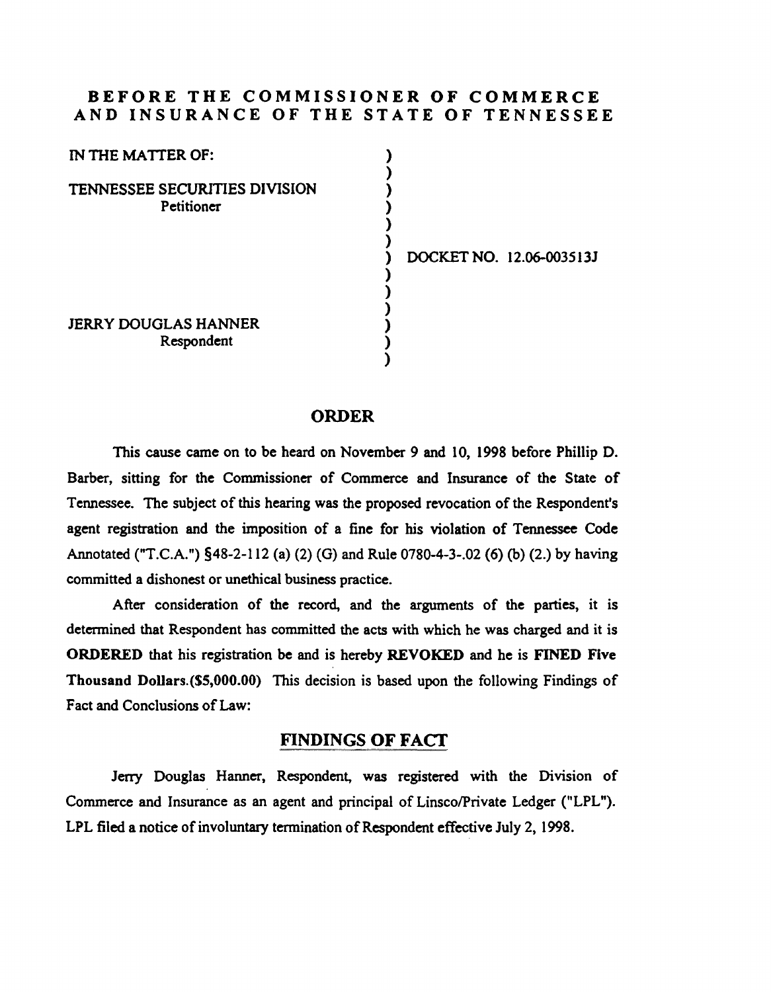## BEFORE THE COMMISSIONER OF COMMERCE AND INSURANCE OF THE STATE OF TENNESSEE

) ) ) ) ) )

) ) ) ) ) )

| IN THE MATTER OF:                           |  |
|---------------------------------------------|--|
| TENNESSEE SECURITIES DIVISION<br>Petitioner |  |
|                                             |  |
|                                             |  |
| <b>JERRY DOUGLAS HANNER</b><br>Respondent   |  |

) DOCKET NO. 12.06-003513J

### ORDER

This cause came on to be beard on November 9 and 10, 1998 before Phillip D. Barber, sitting for the Commissioner of Commerce and Insurance of the State of Tennessee. The subject of this hearing was the proposed revocation of the Respondent's agent registration and the imposition of a fine for his violation of Tennessee Code Annotated ("T.C.A.") §48-2-112 (a) (2) (G) and Rule 0780-4-3-.02 (6) (b) (2.) by having committed a dishonest or unethical business practice.

After consideration of the record, and the arguments of the parties, it is determined that Respondent has committed the acts with which he was charged and it is ORDERED that his registration be and is hereby REVOKED and be is FINED Five Thousand Dollars.(\$5,000.00) This decision is based upon the following Findings of Fact and Conclusions of Law:

# FINDINGS OF FACf

Jerry Douglas Hanner, Respondent, was registered with the Division of Commerce and Insurance as an agent and principal of Linsco/Private Ledger ("LPL"). LPL filed a notice of involuntary termination of Respondent effective July 2, 1998.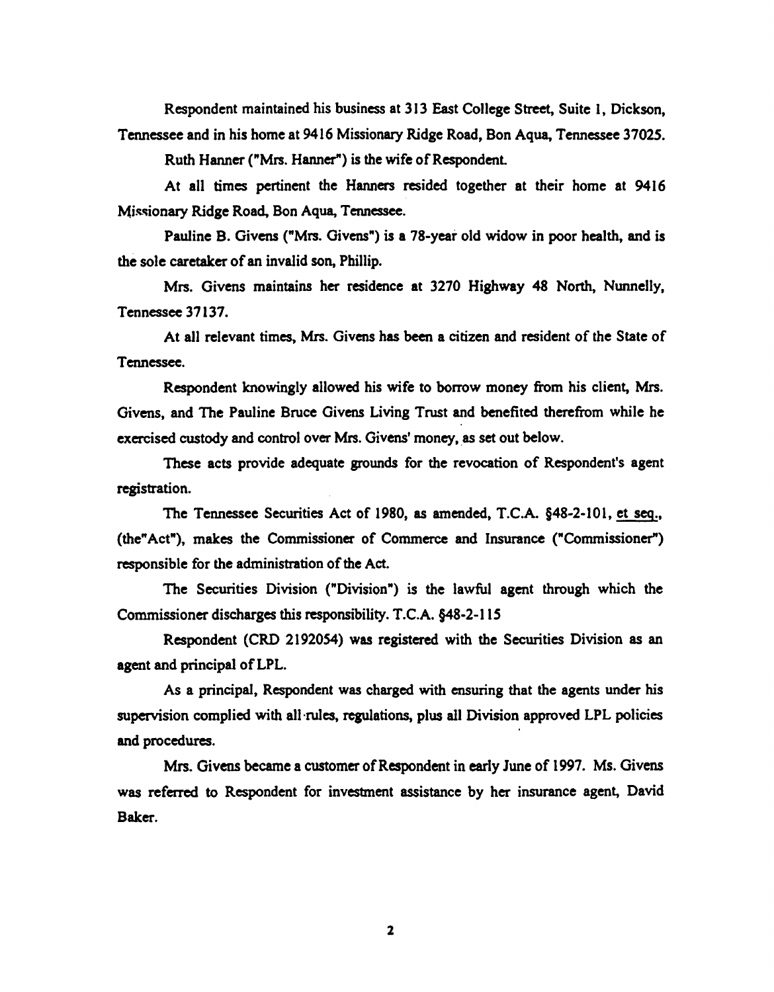Respondent maintained his business at 313 East College Street, Suite I, Dickson, Tennessee and in his home at 9416 Missionary Ridge Road, Bon Aqua, Tennessee 37025.

Ruth Hanner ("Mrs. Hanner") is the wife of Respondent

At all times pertinent the Hanners resided together at their home at 9416 Missionary Ridge Road, Bon Aqua, Tennessee.

Pauline B. Givens ("Mrs. Givens") is a 78-year old widow in poor health, and is the sole caretaker of an invalid son, Phillip.

Mrs. Givens maintains her residence at 3270 Highway 48 North, Nunnelly, Tennessee 37137.

At all relevant times, Mrs. Givens has been a citizen and resident of the State of Tennessee.

Respondent knowingly allowed his wife to borrow money from his client, Mrs. Givens, and The Pauline Bruce Givens Living Trust and benefited therefrom while he exercised custody and control over Mrs. Givens' money, as set out below.

These acts provide adequate grounds for the revocation of Respondent's agent registration.

The Tennessee Securities Act of 1980, as amended, T.C.A. §48-2-101, et seq., (the" Act"), makes the Commissioner of Commerce and Insurance ("Commissioner") responsible for the administration of the Act.

The Securities Division ("Division") is the lawful agent through which the Commissioner discharges this responsibility. T.C.A. §48-2-115

Respondent (CRD 2192054) was registered with the Securities Division as an agent and principal of LPL.

As a principal, Respondent was charged with ensuring that the agents under his supervision complied with all·rules, regulations, plus all Division approved LPL policies and procedures.

Mrs. Givens became a customer of Respondent in early June of 1997. Ms. Givens was referred to Respondent for investment assistance by her insurance agent, David Baker.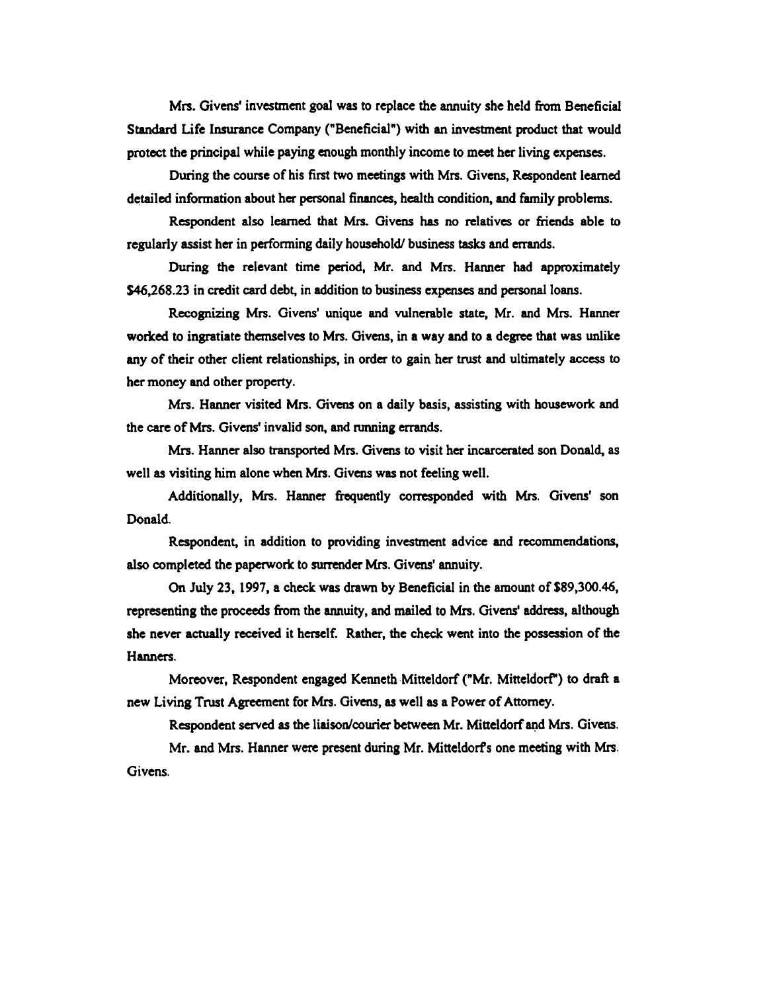Mrs. Givens' investment goal was to replace the annuity she held from Beneficial Standard Life Insurance Company ("Beneficial") with an investment product that would protect the principal while paying enough monthly income to meet her living expenses.

During the course of his first two meetings with Mrs. Givens, Respondent learned detailed information about her personal finances, health condition, and family problems.

Respondent also learned that Mrs. Givens has no relatives or friends able to regularly assist her in performing daily household/ business tasks and errands.

During the relevant time period, Mr. and Mrs. Hanner had approximately \$46,268.23 in credit card debt, in addition to business expenses and personal loans.

Recognizing Mrs. Givens' unique and wlnerable state, Mr. and Mrs. Hanner worked to ingratiate themselves to Mrs. Givens, in a way and to a degree that was unlike any of their other client relationships, in order to gain her trust and ultimately access to her money and other property.

Mrs. Hanner visited Mrs. Givens on a daily basis, assisting with housework and the care of Mrs. Givens' invalid son, and running errands.

Mrs. Hanner also transported Mrs. Givens to visit her incarcerated son Donald, as well as visiting him alone when Mrs. Givens was not feeling well.

Additionally, Mrs. Hanner frequently corresponded with Mrs. Givens' son Donald.

Respondent, in addition to providing investment advice and recommendations, also completed the paperwork to surrender Mrs. Givens' annuity.

On July 23, 1997, a check was drawn by Beneficial in the amount of \$89,300.46, representing the proceeds from the annuity, and mailed to Mrs. Givens' address, although she never actually received it herself. Rather, the check went into the possession of the Hanners.

Moreover, Respondent engaged Kenneth Mitteldorf ("Mr. Mitteldorf") to draft a new Living Trust Agreement for Mrs. Givens, as well as a Power of Attorney.

Respondent served as the liaison/courier between Mr. Mitteldorf and Mrs. Givens. Mr. and Mrs. Hanner were present during Mr. Mitteldorfs one meeting with Mrs.

Givens.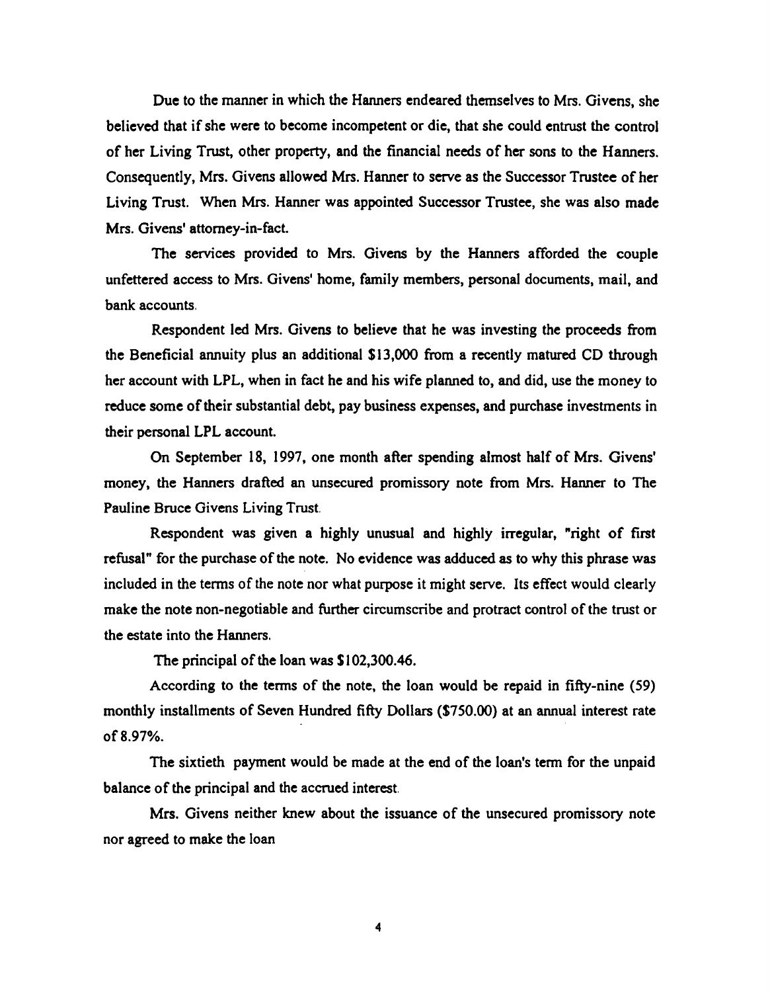Due to the manner in which the Hanners endeared themselves to Mrs. Givens, she believed that if she were to become incompetent or die, that she could entrust the control of her Living Trust, other property, and the financial needs of her sons to the Hanners. Consequently, Mrs. Givens allowed Mrs. Hanner to serve as the Successor Trustee of her Living Trust. When Mrs. Hanner was appointed Successor Trustee, she was also made Mrs. Givens' attorney-in-fact.

The services provided to Mrs. Givens by the Hanners afforded the couple unfettered access to Mrs. Givens' home, family members, personal documents, mail, and bank accounts.

Respondent led Mrs. Givens to believe that he was investing the proceeds from the Beneficial annuity plus an additional \$13,000 from a recently matured CD through her account with LPL, when in fact he and his wife planned to, and did, use the money to reduce some of their substantial debt, pay business expenses, and purchase investments in their personal LPL account.

On September 18, 1997, one month after spending almost half of Mrs. Givens' money, the Hanners drafted an unsecured promissory note from Mrs. Hanner to The Pauline Bruce Givens Living Trust.

Respondent was given a highly unusual and highly irregular, "right of first refusal" for the purchase of the note. No evidence was adduced as to why this phrase was included in the terms of the note nor what purpose it might serve. Its effect would clearly make the note non-negotiable and further circumscribe and protract control of the trust or the estate into the Hanners.

The principal of the loan was \$102,300.46.

According to the terms of the note, the loan would be repaid in fifty-nine (59) monthly installments of Seven Hundred fifty Dollars (\$750.00) at an annual interest rate of8.97%.

The sixtieth payment would be made at the end of the loan's term for the unpaid balance of the principal and the accrued interest.

Mrs. Givens neither knew about the issuance of the unsecured promissory note nor agreed to make the loan

4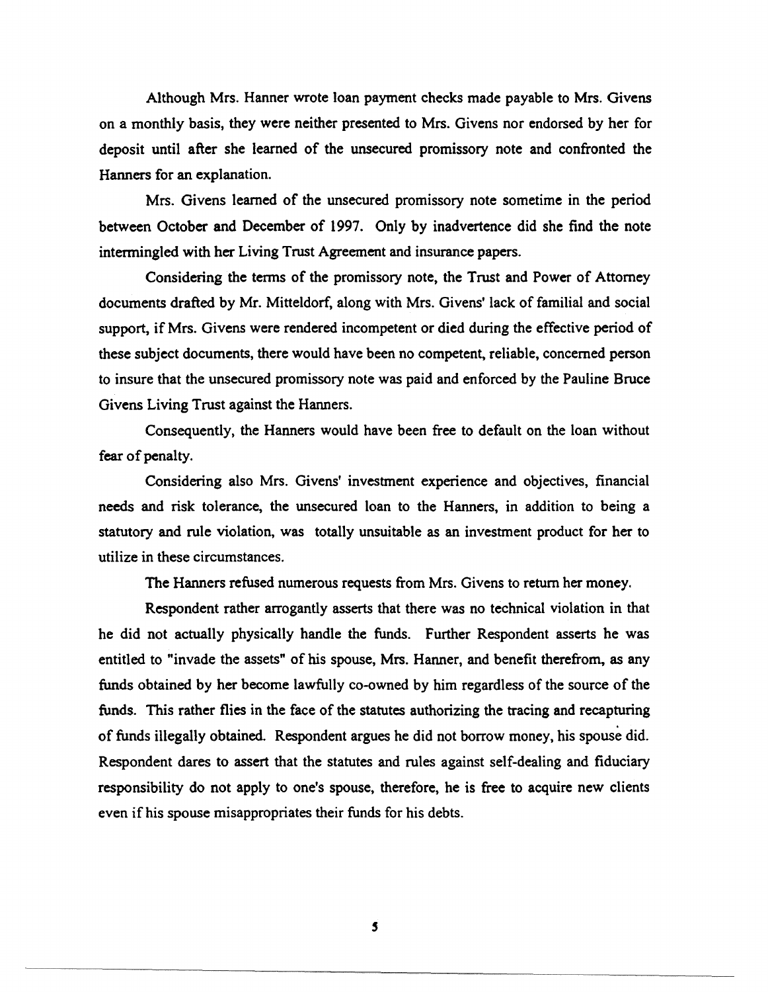Although Mrs. Hanner wrote loan payment checks made payable to Mrs. Givens on a monthly basis, they were neither presented to Mrs. Givens nor endorsed by her for deposit until after she learned of the unsecured promissory note and confronted the Hanners for an explanation.

Mrs. Givens learned of the unsecured promissory note sometime in the period between October and December of 1997. Only by inadvertence did she find the note intermingled with her Living Trust Agreement and insurance papers.

Considering the terms of the promissory note, the Trust and Power of Attorney documents drafted by Mr. Mitteldorf, along with Mrs. Givens' lack of familial and social support, if Mrs. Givens were rendered incompetent or died during the effective period of these subject documents, there would have been no competent, reliable, concerned person to insure that the unsecured promissory note was paid and enforced by the Pauline Bruce Givens Living Trust against the Hanners.

Consequently, the Hanners would have been free to default on the loan without fear of penalty.

Considering also Mrs. Givens' investment experience and objectives, financial needs and risk tolerance, the unsecured loan to the Hanners, in addition to being a statutory and rule violation, was totally unsuitable as an investment product for her to utilize in these circumstances.

The Hanners refused numerous requests from Mrs. Givens to return her money.

Respondent rather arrogantly asserts that there was no technical violation in that he did not actually physically handle the funds. Further Respondent asserts he was entitled to "invade the assets" of his spouse, Mrs. Hanner, and benefit therefrom, as any funds obtained by her become lawfully co-owned by him regardless of the source of the funds. This rather flies in the face of the statutes authorizing the tracing and recapturing of funds illegally obtained. Respondent argues he did not borrow money, his spouse did. Respondent dares to assert that the statutes and rules against self-dealing and fiduciary responsibility do not apply to one's spouse, therefore, he is free to acquire new clients even if his spouse misappropriates their funds for his debts.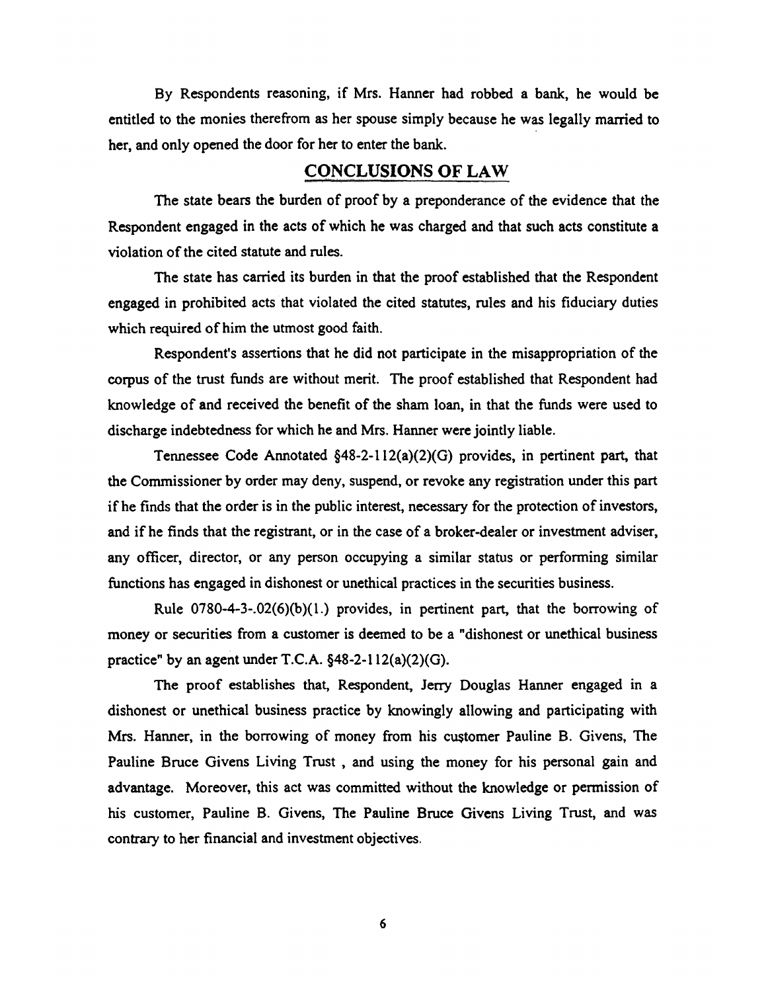By Respondents reasoning, if Mrs. Hanner had robbed a bank, he would be entitled to the monies therefrom as her spouse simply because he was legally married to her, and only opened the door for her to enter the bank.

## CONCLUSIONS OF LAW

The state bears the burden of proof by a preponderance of the evidence that the Respondent engaged in the acts of which he was charged and that such acts constitute a violation of the cited statute and rules.

The state has carried its burden in that the proof established that the Respondent engaged in prohibited acts that violated the cited statutes, rules and his fiduciary duties which required of him the utmost good faith.

Respondent's assertions that he did not participate in the misappropriation of the corpus of the trust funds are without merit. The proof established that Respondent had knowledge of and received the benefit of the sham loan, in that the funds were used to discharge indebtedness for which he and Mrs. Hanner were jointly liable.

Tennessee Code Annotated §48-2-112(a)(2)(G) provides, in pertinent part, that the Commissioner by order may deny, suspend, or revoke any registration under this part if he finds that the order is in the public interest, necessary for the protection of investors, and if he finds that the registrant, or in the case of a broker-dealer or investment adviser, any officer, director, or any person occupying a similar status or performing similar functions has engaged in dishonest or unethical practices in the securities business.

Rule 0780-4-3-.02(6)(b)(l.) provides, in pertinent part, that the borrowing of money or securities from a customer is deemed to be a "dishonest or unethical business practice" by an agent under T.C.A.  $§48-2-112(a)(2)(G)$ .

The proof establishes that, Respondent, Jerry Douglas Hanner engaged in a dishonest or unethical business practice by knowingly allowing and participating with Mrs. Hanner, in the borrowing of money from his customer Pauline B. Givens, The Pauline Bruce Givens Living Trust , and using the money for his personal gain and advantage. Moreover, this act was committed without the knowledge or permission of his customer, Pauline B. Givens, The Pauline Bruce Givens Living Trust, and was contrary to her financial and investment objectives.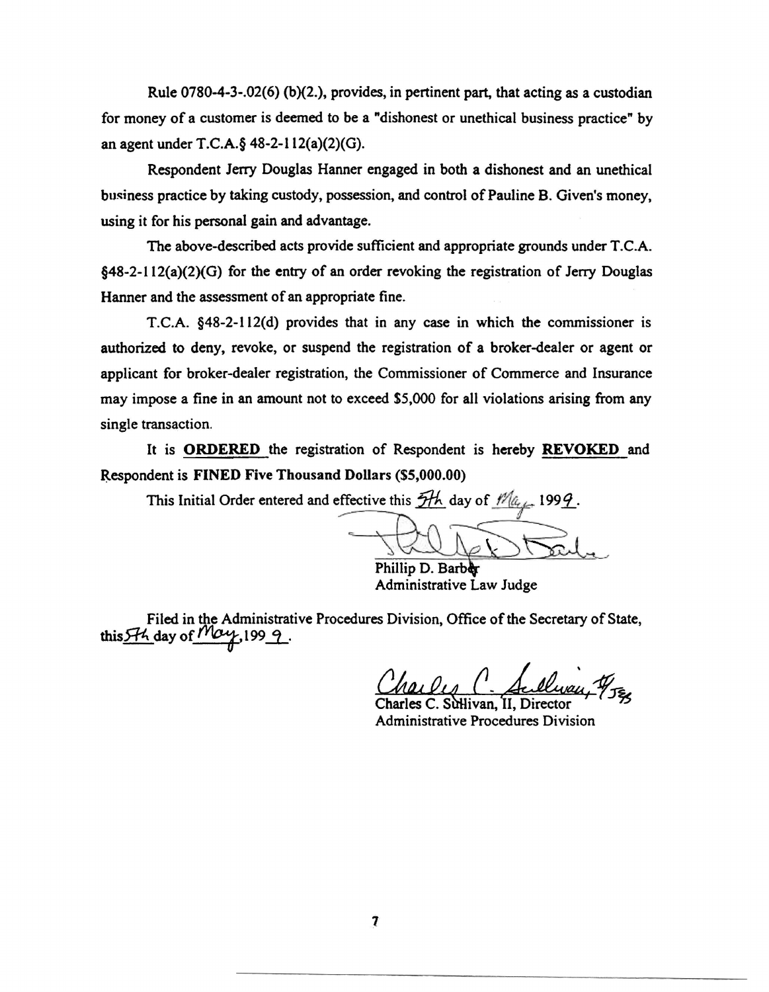Rule 0780-4-3-.02(6) (b)(2.), provides, in pertinent part, that acting as a custodian for money of a customer is deemed to be a "dishonest or unethical business practice" by an agent under T.C.A.§ 48-2-112(a)(2)(G).

Respondent Jerry Douglas Hanner engaged in both a dishonest and an unethical business practice by taking custody, possession, and control of Pauline B. Given's money, using it for his personal gain and advantage.

The above-described acts provide sufficient and appropriate grounds under T.C.A. §48-2-112(a)(2)(G) for the entry of an order revoking the registration of Jerry Douglas Hanner and the assessment of an appropriate fine.

T.C.A. §48-2-ll2(d) provides that in any case in which the commissioner is authorized to deny, revoke, or suspend the registration of a broker-dealer or agent or applicant for broker-dealer registration, the Commissioner of Commerce and Insurance may impose a fine in an amount not to exceed \$5,000 for all violations arising from any single transaction.

It is ORDERED the registration of Respondent is hereby REVOKED and Respondent is FINED Five Thousand Dollars (\$5,000.00)

This Initial Order entered and effective this  $\frac{f}{f}$  day of  $\frac{f}{f}$  day

I Dollars (\$5,000.00)<br>
<br>
<br>
<br>
Phillip D. Barber<br>
Administrative Law Judge<br>
<br>
Administrative Law Judge

Filed in the Administrative Procedures Division, Office of the Secretary of State, this  $H_1$  day of May, 199 9.

Charles C. Sullway <sup>19</sup>JES

Administrative Procedures Division